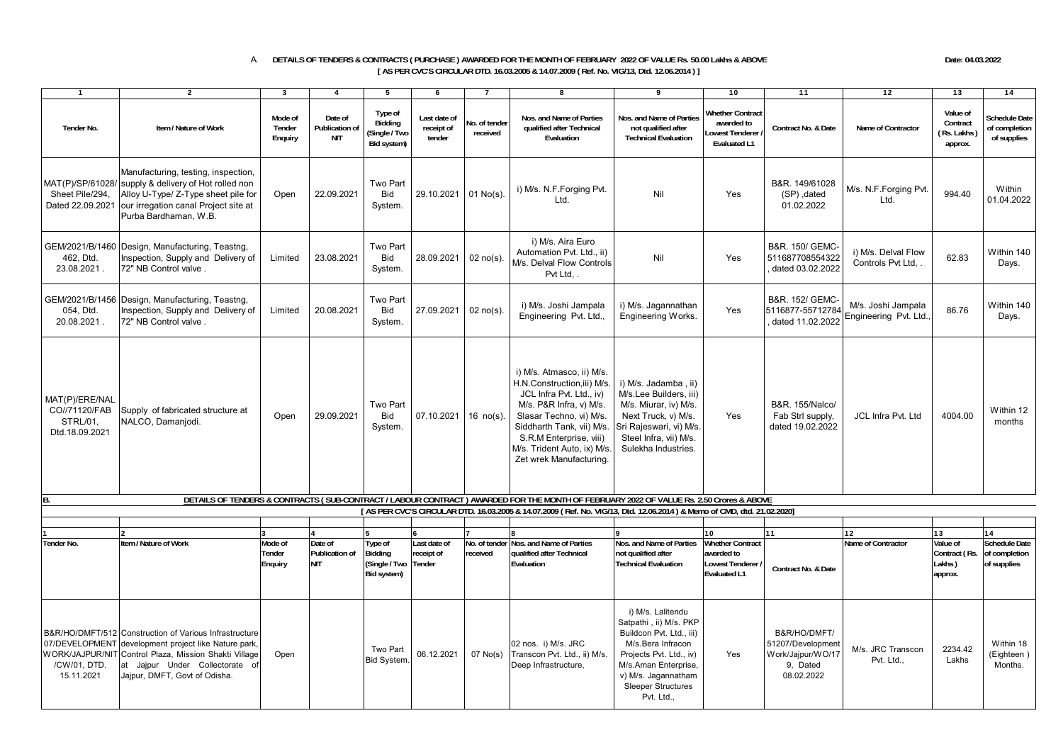## A. **DETAILS OF TENDERS & CONTRACTS ( PURCHASE ) AWARDED FOR THE MONTH OF FEBRUARY 2022 OF VALUE Rs. 50.00 Lakhs & ABOVE Date: 04.03.2022 [ AS PER CVC'S CIRCULAR DTD. 16.03.2005 & 14.07.2009 ( Ref. No. VIG/13, Dtd. 12.06.2014 ) ]**

| $\mathbf{1}$                                                  | $\overline{2}$                                                                                                                                                                                                                              | $\mathbf{3}$                 | $\overline{\mathbf{4}}$                        | 5                                                        | 6                                    | $\overline{7}$            | 8                                                                                                                                                                                                                                                            | 9                                                                                                                                                                                                                 | 10                                                                              | $\overline{11}$                                                                  | $\overline{12}$                             | $\overline{13}$                                | 14                                                   |
|---------------------------------------------------------------|---------------------------------------------------------------------------------------------------------------------------------------------------------------------------------------------------------------------------------------------|------------------------------|------------------------------------------------|----------------------------------------------------------|--------------------------------------|---------------------------|--------------------------------------------------------------------------------------------------------------------------------------------------------------------------------------------------------------------------------------------------------------|-------------------------------------------------------------------------------------------------------------------------------------------------------------------------------------------------------------------|---------------------------------------------------------------------------------|----------------------------------------------------------------------------------|---------------------------------------------|------------------------------------------------|------------------------------------------------------|
| Tender No.                                                    | Item / Nature of Work                                                                                                                                                                                                                       | Mode of<br>Tender<br>Enquiry | Date of<br><b>Publication of</b><br><b>NIT</b> | Type of<br><b>Biddina</b><br>Single / Two<br>Bid system) | Last date of<br>receipt of<br>tender | lo, of tender<br>received | Nos. and Name of Parties<br>qualified after Technical<br>Evaluation                                                                                                                                                                                          | Nos, and Name of Parties<br>not qualified after<br><b>Technical Evaluation</b>                                                                                                                                    | <b>Whether Contract</b><br>awarded to<br>owest Tenderer<br><b>Evaluated L1</b>  | Contract No. & Date                                                              | Name of Contractor                          | Value of<br>Contract<br>Rs. Lakhs<br>approx.   | Schedule Date<br>of completion<br>of supplies        |
| Sheet Pile/294,<br>Dated 22.09.2021                           | Manufacturing, testing, inspection,<br>MAT(P)/SP/61028/ supply & delivery of Hot rolled non<br>Alloy U-Type/ Z-Type sheet pile for<br>our irregation canal Project site at<br>Purba Bardhaman, W.B.                                         | Open                         | 22.09.2021                                     | Two Part<br>Bid<br>System.                               | 29.10.2021                           | $01$ No(s).               | i) M/s. N.F.Forging Pvt.<br>Ltd.                                                                                                                                                                                                                             | Nil                                                                                                                                                                                                               | Yes                                                                             | B&R. 149/61028<br>(SP), dated<br>01.02.2022                                      | M/s. N.F.Forging Pvt.<br>Ltd.               | 994.40                                         | Within<br>01.04.2022                                 |
| 462. Dtd.<br>23.08.2021.                                      | GEM/2021/B/1460 Design, Manufacturing, Teastng,<br>Inspection, Supply and Delivery of<br>72" NB Control valve.                                                                                                                              | Limited                      | 23.08.2021                                     | Two Part<br><b>Bid</b><br>System.                        | 28.09.2021                           | $02$ no(s).               | i) M/s. Aira Euro<br>Automation Pvt. Ltd., ii)<br>M/s. Delval Flow Controls<br>Pvt Ltd                                                                                                                                                                       | Nil                                                                                                                                                                                                               | Yes                                                                             | B&R. 150/ GEMC-<br>511687708554322<br>dated 03.02.2022                           | i) M/s. Delval Flow<br>Controls Pvt Ltd     | 62.83                                          | Within 140<br>Days.                                  |
| 054, Dtd.<br>20.08.2021.                                      | GEM/2021/B/1456 Design, Manufacturing, Teastng,<br>Inspection, Supply and Delivery of<br>72" NB Control valve.                                                                                                                              | Limited                      | 20.08.2021                                     | Two Part<br>Bid<br>System.                               | 27.09.2021                           | $02$ no(s).               | i) M/s. Joshi Jampala<br>Engineering Pvt. Ltd.,                                                                                                                                                                                                              | i) M/s. Jagannathan<br>Engineering Works.                                                                                                                                                                         | Yes                                                                             | B&R. 152/ GEMC-<br>5116877-55712784<br>dated 11.02.2022                          | M/s. Joshi Jampala<br>Engineering Pvt. Ltd. | 86.76                                          | Within 140<br>Days.                                  |
| MAT(P)/ERE/NAL<br>CO//71120/FAB<br>STRL/01,<br>Dtd.18.09.2021 | Supply of fabricated structure at<br>NALCO, Damanjodi.                                                                                                                                                                                      | Open                         | 29.09.2021                                     | Two Part<br>Bid<br>System.                               | 07.10.2021                           | $16$ no(s).               | i) M/s. Atmasco, ii) M/s.<br>H.N.Construction, iii) M/s.<br>JCL Infra Pvt. Ltd., iv)<br>M/s. P&R Infra, v) M/s.<br>Slasar Techno, vi) M/s.<br>Siddharth Tank, vii) M/s.<br>S.R.M Enterprise, viii)<br>M/s. Trident Auto, ix) M/s.<br>Zet wrek Manufacturing. | i) M/s. Jadamba, ii)<br>M/s.Lee Builders, iii)<br>M/s. Miurar, iv) M/s.<br>Next Truck, v) M/s.<br>Sri Rajeswari, vi) M/s.<br>Steel Infra, vii) M/s.<br>Sulekha Industries.                                        | Yes                                                                             | B&R. 155/Nalco/<br>Fab Strl supply,<br>dated 19.02.2022                          | JCL Infra Pvt. Ltd                          | 4004.00                                        | Within 12<br>months                                  |
| B.                                                            |                                                                                                                                                                                                                                             |                              |                                                |                                                          |                                      |                           | DETAILS OF TENDERS & CONTRACTS (SUB-CONTRACT / LABOUR CONTRACT) AWARDED FOR THE MONTH OF FEBRUARY 2022 OF VALUE Rs. 2.50 Crores & ABOVE                                                                                                                      |                                                                                                                                                                                                                   |                                                                                 |                                                                                  |                                             |                                                |                                                      |
|                                                               |                                                                                                                                                                                                                                             |                              |                                                |                                                          |                                      |                           | [AS PER CVC'S CIRCULAR DTD. 16.03.2005 & 14.07.2009 (Ref. No. VIG/13, Dtd. 12.06.2014) & Memo of CMD, dtd. 21.02.2020]                                                                                                                                       |                                                                                                                                                                                                                   |                                                                                 |                                                                                  |                                             |                                                |                                                      |
|                                                               |                                                                                                                                                                                                                                             |                              |                                                |                                                          |                                      |                           |                                                                                                                                                                                                                                                              |                                                                                                                                                                                                                   | 10                                                                              | 11                                                                               | 12                                          | 13                                             | 14                                                   |
| Tender No.                                                    | Item / Nature of Work                                                                                                                                                                                                                       | Mode of<br>Tender<br>Enquiry | Date of<br>Publication of<br><b>NIT</b>        | ype of<br>Bidding<br>(Single / Two<br>Bid system)        | Last date of<br>receipt of<br>Tender | received                  | No. of tender Nos. and Name of Parties<br><b>ualified after Technical</b><br>Evaluation                                                                                                                                                                      | Nos. and Name of Parties<br>not qualified after<br><b>Technical Evaluation</b>                                                                                                                                    | <b>Whether Contract</b><br>awarded to<br>Lowest Tenderer<br><b>Evaluated L1</b> | Contract No. & Date                                                              | Name of Contractor                          | Value of<br>Contract (Rs.<br>Lakhs)<br>approx. | <b>Schedule Date</b><br>of completion<br>of supplies |
| /CW/01, DTD<br>15.11.2021                                     | B&R/HO/DMFT/512 Construction of Various Infrastructure<br>07/DEVELOPMENT development project like Nature park.<br>WORK/JAJPUR/NIT Control Plaza, Mission Shakti Village<br>at Jajpur Under Collectorate of<br>Jajpur, DMFT, Govt of Odisha. | Open                         |                                                | Two Part<br><b>Bid System</b>                            | 06.12.2021                           | $07$ No(s)                | 02 nos. i) M/s. JRC<br>Transcon Pvt. Ltd., ii) M/s.<br>Deep Infrastructure,                                                                                                                                                                                  | i) M/s. Lalitendu<br>Satpathi, ii) M/s. PKP<br>Buildcon Pvt. Ltd., iii)<br>M/s.Bera Infracon<br>Projects Pvt. Ltd., iv)<br>M/s.Aman Enterprise,<br>v) M/s. Jagannatham<br><b>Sleeper Structures</b><br>Pvt. Ltd., | Yes                                                                             | B&R/HO/DMFT/<br>51207/Development<br>Work/Jajpur/WO/17<br>9, Dated<br>08.02.2022 | M/s. JRC Transcon<br>Pvt. Ltd.,             | 2234.42<br>Lakhs                               | Within 18<br>(Eighteen)<br>Months.                   |